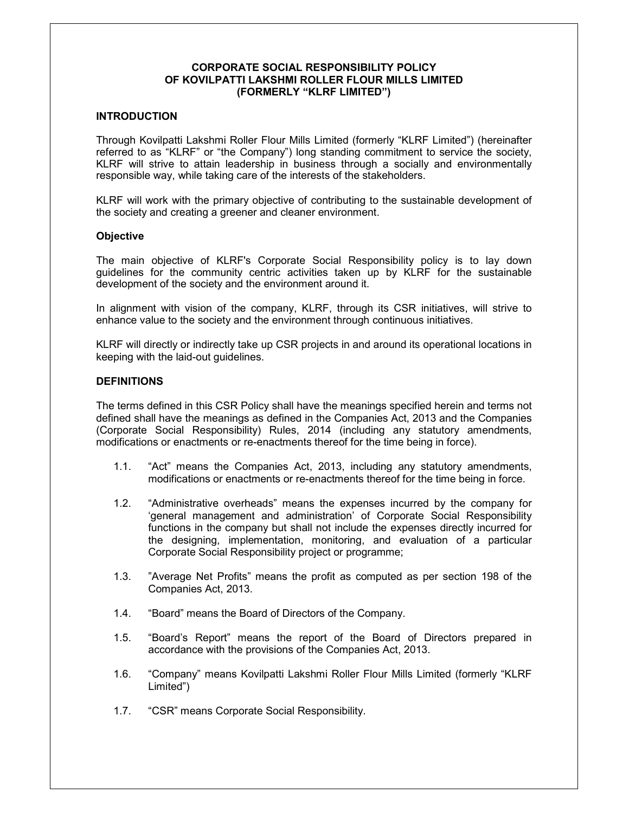### **CORPORATE SOCIAL RESPONSIBILITY POLICY OF KOVILPATTI LAKSHMI ROLLER FLOUR MILLS LIMITED (FORMERLY "KLRF LIMITED")**

### **INTRODUCTION**

Through Kovilpatti Lakshmi Roller Flour Mills Limited (formerly "KLRF Limited") (hereinafter referred to as "KLRF" or "the Company") long standing commitment to service the society, KLRF will strive to attain leadership in business through a socially and environmentally responsible way, while taking care of the interests of the stakeholders.

KLRF will work with the primary objective of contributing to the sustainable development of the society and creating a greener and cleaner environment.

#### **Objective**

The main objective of KLRF's Corporate Social Responsibility policy is to lay down guidelines for the community centric activities taken up by KLRF for the sustainable development of the society and the environment around it.

In alignment with vision of the company, KLRF, through its CSR initiatives, will strive to enhance value to the society and the environment through continuous initiatives.

KLRF will directly or indirectly take up CSR projects in and around its operational locations in keeping with the laid-out guidelines.

#### **DEFINITIONS**

The terms defined in this CSR Policy shall have the meanings specified herein and terms not defined shall have the meanings as defined in the Companies Act, 2013 and the Companies (Corporate Social Responsibility) Rules, 2014 (including any statutory amendments, modifications or enactments or re-enactments thereof for the time being in force).

- 1.1. "Act" means the Companies Act, 2013, including any statutory amendments, modifications or enactments or re-enactments thereof for the time being in force.
- 1.2. "Administrative overheads" means the expenses incurred by the company for 'general management and administration' of Corporate Social Responsibility functions in the company but shall not include the expenses directly incurred for the designing, implementation, monitoring, and evaluation of a particular Corporate Social Responsibility project or programme;
- 1.3. "Average Net Profits" means the profit as computed as per section 198 of the Companies Act, 2013.
- 1.4. "Board" means the Board of Directors of the Company.
- 1.5. "Board's Report" means the report of the Board of Directors prepared in accordance with the provisions of the Companies Act, 2013.
- 1.6. "Company" means Kovilpatti Lakshmi Roller Flour Mills Limited (formerly "KLRF Limited")
- 1.7. "CSR" means Corporate Social Responsibility.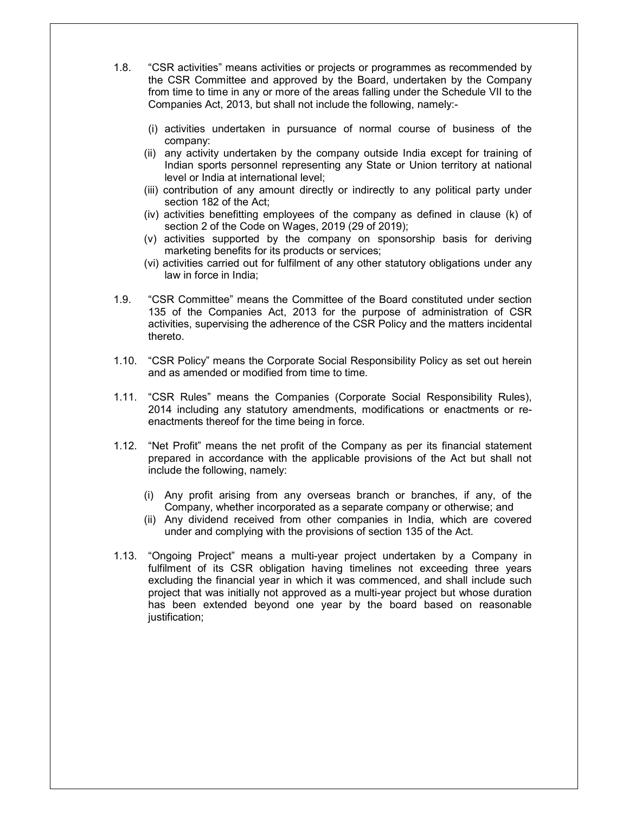- 1.8. "CSR activities" means activities or projects or programmes as recommended by the CSR Committee and approved by the Board, undertaken by the Company from time to time in any or more of the areas falling under the Schedule VII to the Companies Act, 2013, but shall not include the following, namely:-
	- (i) activities undertaken in pursuance of normal course of business of the company:
	- (ii) any activity undertaken by the company outside India except for training of Indian sports personnel representing any State or Union territory at national level or India at international level;
	- (iii) contribution of any amount directly or indirectly to any political party under section 182 of the Act;
	- (iv) activities benefitting employees of the company as defined in clause (k) of section 2 of the Code on Wages, 2019 (29 of 2019);
	- (v) activities supported by the company on sponsorship basis for deriving marketing benefits for its products or services;
	- (vi) activities carried out for fulfilment of any other statutory obligations under any law in force in India;
- 1.9. "CSR Committee" means the Committee of the Board constituted under section 135 of the Companies Act, 2013 for the purpose of administration of CSR activities, supervising the adherence of the CSR Policy and the matters incidental thereto.
- 1.10. "CSR Policy" means the Corporate Social Responsibility Policy as set out herein and as amended or modified from time to time.
- 1.11. "CSR Rules" means the Companies (Corporate Social Responsibility Rules), 2014 including any statutory amendments, modifications or enactments or reenactments thereof for the time being in force.
- 1.12. "Net Profit" means the net profit of the Company as per its financial statement prepared in accordance with the applicable provisions of the Act but shall not include the following, namely:
	- (i) Any profit arising from any overseas branch or branches, if any, of the Company, whether incorporated as a separate company or otherwise; and
	- (ii) Any dividend received from other companies in India, which are covered under and complying with the provisions of section 135 of the Act.
- 1.13. "Ongoing Project" means a multi-year project undertaken by a Company in fulfilment of its CSR obligation having timelines not exceeding three years excluding the financial year in which it was commenced, and shall include such project that was initially not approved as a multi-year project but whose duration has been extended beyond one year by the board based on reasonable justification;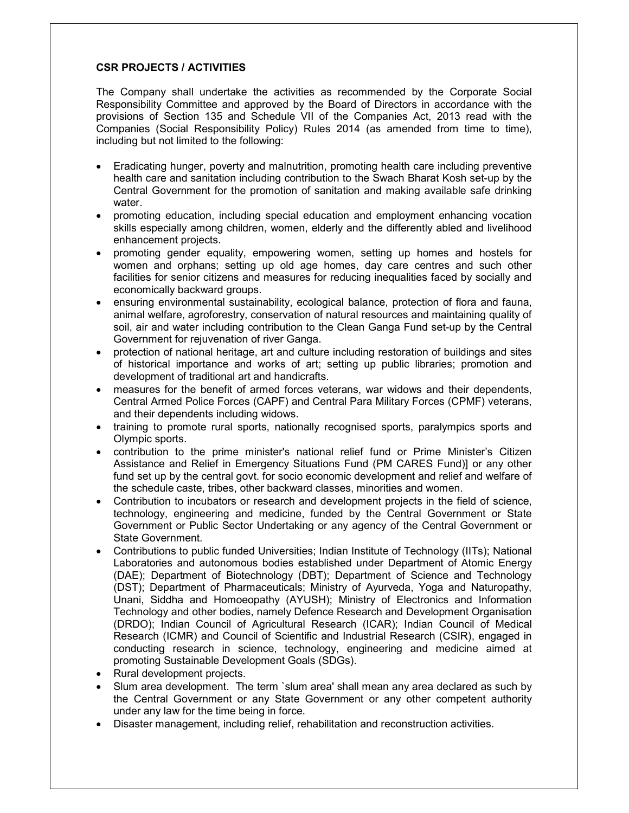### **CSR PROJECTS / ACTIVITIES**

The Company shall undertake the activities as recommended by the Corporate Social Responsibility Committee and approved by the Board of Directors in accordance with the provisions of Section 135 and Schedule VII of the Companies Act, 2013 read with the Companies (Social Responsibility Policy) Rules 2014 (as amended from time to time), including but not limited to the following:

- Eradicating hunger, poverty and malnutrition, promoting health care including preventive health care and sanitation including contribution to the Swach Bharat Kosh set-up by the Central Government for the promotion of sanitation and making available safe drinking water.
- promoting education, including special education and employment enhancing vocation skills especially among children, women, elderly and the differently abled and livelihood enhancement projects.
- promoting gender equality, empowering women, setting up homes and hostels for women and orphans; setting up old age homes, day care centres and such other facilities for senior citizens and measures for reducing inequalities faced by socially and economically backward groups.
- ensuring environmental sustainability, ecological balance, protection of flora and fauna, animal welfare, agroforestry, conservation of natural resources and maintaining quality of soil, air and water including contribution to the Clean Ganga Fund set-up by the Central Government for rejuvenation of river Ganga.
- protection of national heritage, art and culture including restoration of buildings and sites of historical importance and works of art; setting up public libraries; promotion and development of traditional art and handicrafts.
- measures for the benefit of armed forces veterans, war widows and their dependents, Central Armed Police Forces (CAPF) and Central Para Military Forces (CPMF) veterans, and their dependents including widows.
- training to promote rural sports, nationally recognised sports, paralympics sports and Olympic sports.
- contribution to the prime minister's national relief fund or Prime Minister's Citizen Assistance and Relief in Emergency Situations Fund (PM CARES Fund)] or any other fund set up by the central govt. for socio economic development and relief and welfare of the schedule caste, tribes, other backward classes, minorities and women.
- Contribution to incubators or research and development projects in the field of science, technology, engineering and medicine, funded by the Central Government or State Government or Public Sector Undertaking or any agency of the Central Government or State Government.
- Contributions to public funded Universities; Indian Institute of Technology (IITs); National Laboratories and autonomous bodies established under Department of Atomic Energy (DAE); Department of Biotechnology (DBT); Department of Science and Technology (DST); Department of Pharmaceuticals; Ministry of Ayurveda, Yoga and Naturopathy, Unani, Siddha and Homoeopathy (AYUSH); Ministry of Electronics and Information Technology and other bodies, namely Defence Research and Development Organisation (DRDO); Indian Council of Agricultural Research (ICAR); Indian Council of Medical Research (ICMR) and Council of Scientific and Industrial Research (CSIR), engaged in conducting research in science, technology, engineering and medicine aimed at promoting Sustainable Development Goals (SDGs).
- Rural development projects.
- Slum area development. The term `slum area' shall mean any area declared as such by the Central Government or any State Government or any other competent authority under any law for the time being in force.
- Disaster management, including relief, rehabilitation and reconstruction activities.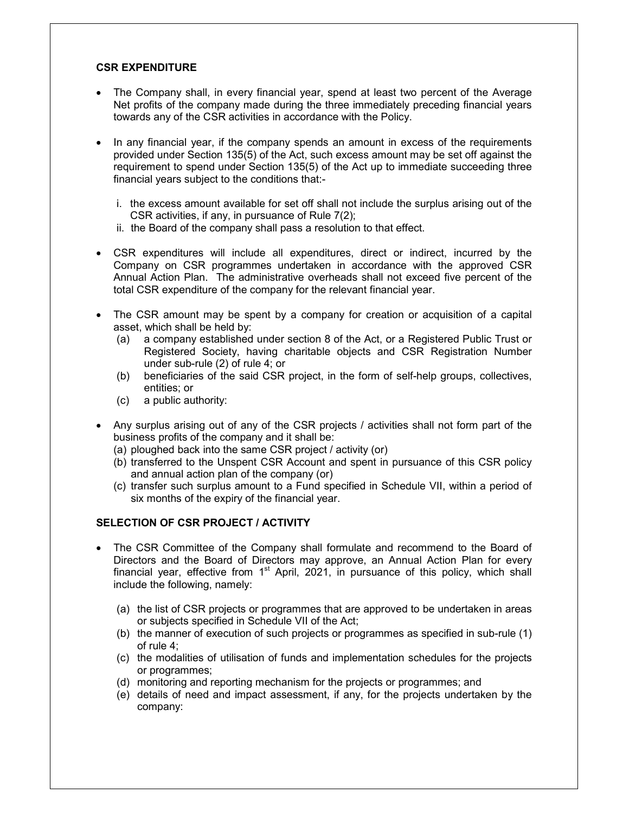## **CSR EXPENDITURE**

- The Company shall, in every financial year, spend at least two percent of the Average Net profits of the company made during the three immediately preceding financial years towards any of the CSR activities in accordance with the Policy.
- In any financial year, if the company spends an amount in excess of the requirements provided under Section 135(5) of the Act, such excess amount may be set off against the requirement to spend under Section 135(5) of the Act up to immediate succeeding three financial years subject to the conditions that:
	- i. the excess amount available for set off shall not include the surplus arising out of the CSR activities, if any, in pursuance of Rule 7(2);
	- ii. the Board of the company shall pass a resolution to that effect.
- CSR expenditures will include all expenditures, direct or indirect, incurred by the Company on CSR programmes undertaken in accordance with the approved CSR Annual Action Plan. The administrative overheads shall not exceed five percent of the total CSR expenditure of the company for the relevant financial year.
- The CSR amount may be spent by a company for creation or acquisition of a capital asset, which shall be held by:
	- (a) a company established under section 8 of the Act, or a Registered Public Trust or Registered Society, having charitable objects and CSR Registration Number under sub-rule (2) of rule 4; or
	- (b) beneficiaries of the said CSR project, in the form of self-help groups, collectives, entities; or
	- (c) a public authority:
- Any surplus arising out of any of the CSR projects / activities shall not form part of the business profits of the company and it shall be:
	- (a) ploughed back into the same CSR project / activity (or)
	- (b) transferred to the Unspent CSR Account and spent in pursuance of this CSR policy and annual action plan of the company (or)
	- (c) transfer such surplus amount to a Fund specified in Schedule VII, within a period of six months of the expiry of the financial year.

### **SELECTION OF CSR PROJECT / ACTIVITY**

- The CSR Committee of the Company shall formulate and recommend to the Board of Directors and the Board of Directors may approve, an Annual Action Plan for every financial year, effective from  $1<sup>st</sup>$  April, 2021, in pursuance of this policy, which shall include the following, namely:
	- (a) the list of CSR projects or programmes that are approved to be undertaken in areas or subjects specified in Schedule VII of the Act;
	- (b) the manner of execution of such projects or programmes as specified in sub-rule (1) of rule 4;
	- (c) the modalities of utilisation of funds and implementation schedules for the projects or programmes;
	- (d) monitoring and reporting mechanism for the projects or programmes; and
	- (e) details of need and impact assessment, if any, for the projects undertaken by the company: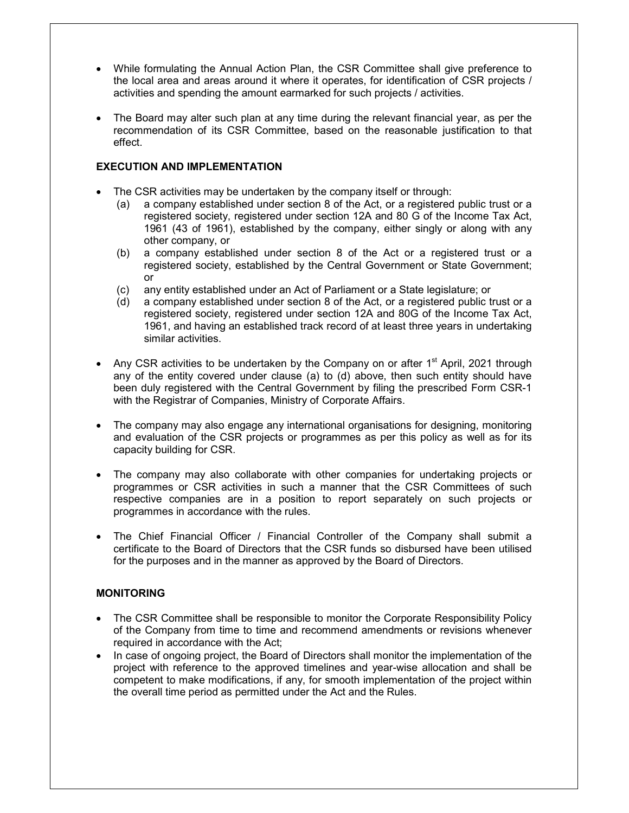- While formulating the Annual Action Plan, the CSR Committee shall give preference to the local area and areas around it where it operates, for identification of CSR projects / activities and spending the amount earmarked for such projects / activities.
- The Board may alter such plan at any time during the relevant financial year, as per the recommendation of its CSR Committee, based on the reasonable justification to that effect.

## **EXECUTION AND IMPLEMENTATION**

- The CSR activities may be undertaken by the company itself or through:
	- (a) a company established under section 8 of the Act, or a registered public trust or a registered society, registered under section 12A and 80 G of the Income Tax Act, 1961 (43 of 1961), established by the company, either singly or along with any other company, or
	- (b) a company established under section 8 of the Act or a registered trust or a registered society, established by the Central Government or State Government; or
	- (c) any entity established under an Act of Parliament or a State legislature; or
	- (d) a company established under section 8 of the Act, or a registered public trust or a registered society, registered under section 12A and 80G of the Income Tax Act, 1961, and having an established track record of at least three years in undertaking similar activities.
- Any CSR activities to be undertaken by the Company on or after  $1<sup>st</sup>$  April, 2021 through any of the entity covered under clause (a) to (d) above, then such entity should have been duly registered with the Central Government by filing the prescribed Form CSR-1 with the Registrar of Companies, Ministry of Corporate Affairs.
- The company may also engage any international organisations for designing, monitoring and evaluation of the CSR projects or programmes as per this policy as well as for its capacity building for CSR.
- The company may also collaborate with other companies for undertaking projects or programmes or CSR activities in such a manner that the CSR Committees of such respective companies are in a position to report separately on such projects or programmes in accordance with the rules.
- The Chief Financial Officer / Financial Controller of the Company shall submit a certificate to the Board of Directors that the CSR funds so disbursed have been utilised for the purposes and in the manner as approved by the Board of Directors.

# **MONITORING**

- The CSR Committee shall be responsible to monitor the Corporate Responsibility Policy of the Company from time to time and recommend amendments or revisions whenever required in accordance with the Act;
- In case of ongoing project, the Board of Directors shall monitor the implementation of the project with reference to the approved timelines and year-wise allocation and shall be competent to make modifications, if any, for smooth implementation of the project within the overall time period as permitted under the Act and the Rules.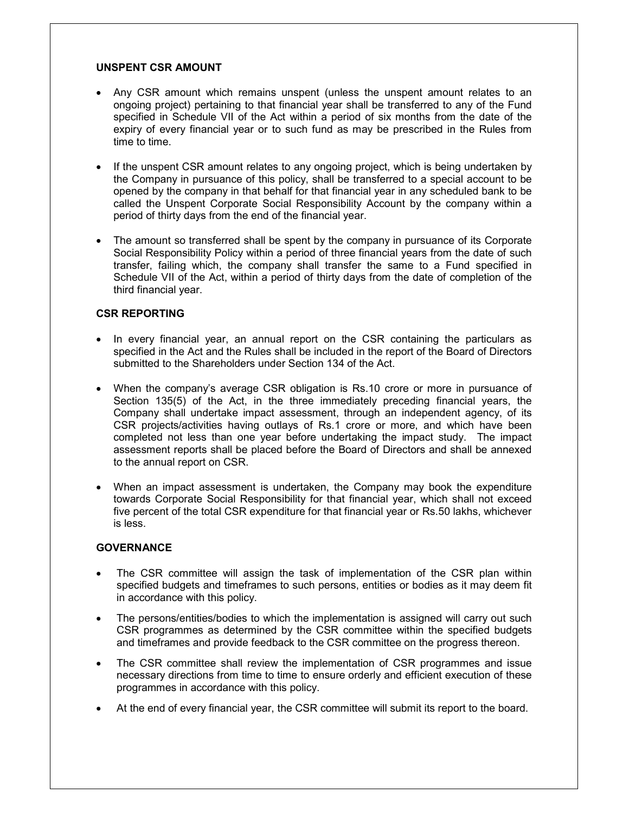## **UNSPENT CSR AMOUNT**

- Any CSR amount which remains unspent (unless the unspent amount relates to an ongoing project) pertaining to that financial year shall be transferred to any of the Fund specified in Schedule VII of the Act within a period of six months from the date of the expiry of every financial year or to such fund as may be prescribed in the Rules from time to time.
- If the unspent CSR amount relates to any ongoing project, which is being undertaken by the Company in pursuance of this policy, shall be transferred to a special account to be opened by the company in that behalf for that financial year in any scheduled bank to be called the Unspent Corporate Social Responsibility Account by the company within a period of thirty days from the end of the financial year.
- The amount so transferred shall be spent by the company in pursuance of its Corporate Social Responsibility Policy within a period of three financial years from the date of such transfer, failing which, the company shall transfer the same to a Fund specified in Schedule VII of the Act, within a period of thirty days from the date of completion of the third financial year.

# **CSR REPORTING**

- In every financial year, an annual report on the CSR containing the particulars as specified in the Act and the Rules shall be included in the report of the Board of Directors submitted to the Shareholders under Section 134 of the Act.
- When the company's average CSR obligation is Rs.10 crore or more in pursuance of Section 135(5) of the Act, in the three immediately preceding financial years, the Company shall undertake impact assessment, through an independent agency, of its CSR projects/activities having outlays of Rs.1 crore or more, and which have been completed not less than one year before undertaking the impact study. The impact assessment reports shall be placed before the Board of Directors and shall be annexed to the annual report on CSR.
- When an impact assessment is undertaken, the Company may book the expenditure towards Corporate Social Responsibility for that financial year, which shall not exceed five percent of the total CSR expenditure for that financial year or Rs.50 lakhs, whichever is less.

# **GOVERNANCE**

- The CSR committee will assign the task of implementation of the CSR plan within specified budgets and timeframes to such persons, entities or bodies as it may deem fit in accordance with this policy.
- The persons/entities/bodies to which the implementation is assigned will carry out such CSR programmes as determined by the CSR committee within the specified budgets and timeframes and provide feedback to the CSR committee on the progress thereon.
- The CSR committee shall review the implementation of CSR programmes and issue necessary directions from time to time to ensure orderly and efficient execution of these programmes in accordance with this policy.
- At the end of every financial year, the CSR committee will submit its report to the board.